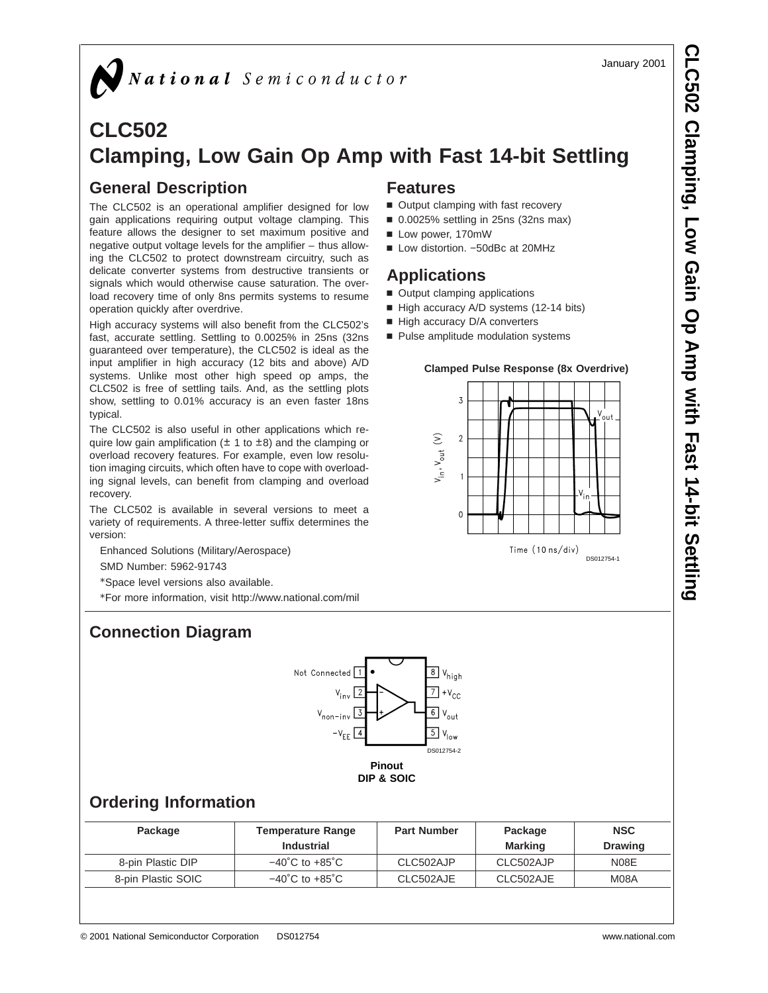January 2001

# National Semiconductor

# **CLC502 Clamping, Low Gain Op Amp with Fast 14-bit Settling**

# **General Description**

The CLC502 is an operational amplifier designed for low gain applications requiring output voltage clamping. This feature allows the designer to set maximum positive and negative output voltage levels for the amplifier – thus allowing the CLC502 to protect downstream circuitry, such as delicate converter systems from destructive transients or signals which would otherwise cause saturation. The overload recovery time of only 8ns permits systems to resume operation quickly after overdrive.

High accuracy systems will also benefit from the CLC502's fast, accurate settling. Settling to 0.0025% in 25ns (32ns guaranteed over temperature), the CLC502 is ideal as the input amplifier in high accuracy (12 bits and above) A/D systems. Unlike most other high speed op amps, the CLC502 is free of settling tails. And, as the settling plots show, settling to 0.01% accuracy is an even faster 18ns typical.

The CLC502 is also useful in other applications which require low gain amplification  $(\pm 1$  to  $\pm 8)$  and the clamping or overload recovery features. For example, even low resolution imaging circuits, which often have to cope with overloading signal levels, can benefit from clamping and overload recovery.

The CLC502 is available in several versions to meet a variety of requirements. A three-letter suffix determines the version:

Enhanced Solutions (Military/Aerospace)

SMD Number: 5962-91743

\*Space level versions also available.

\*For more information, visit http://www.national.com/mil

# **Connection Diagram**



# **Ordering Information**

| Package            | <b>Temperature Range</b><br><b>Industrial</b> | <b>Part Number</b> | Package<br>Marking | <b>NSC</b><br><b>Drawing</b> |
|--------------------|-----------------------------------------------|--------------------|--------------------|------------------------------|
| 8-pin Plastic DIP  | –40˚C to +85˚C                                | CLC502AJP          | CLC502AJP          | N08E                         |
| 8-pin Plastic SOIC | –40˚C to +85˚C                                | CLC502AJE          | CLC502AJE          | M08A                         |

### **Features**

- Output clamping with fast recovery
- 0.0025% settling in 25ns (32ns max)
- Low power, 170mW
- Low distortion. -50dBc at 20MHz

## **Applications**

- Output clamping applications
- High accuracy A/D systems (12-14 bits)
- High accuracy D/A converters
- Pulse amplitude modulation systems

#### **Clamped Pulse Response (8x Overdrive)**

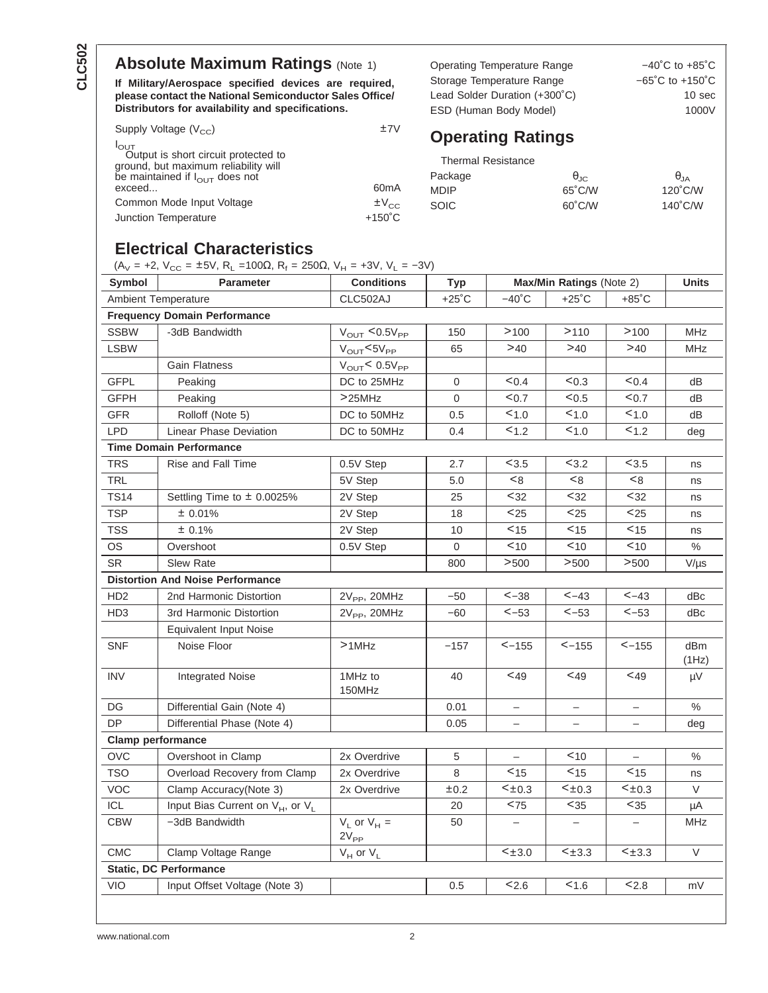# **Absolute Maximum Ratings (Note 1)**

**If Military/Aerospace specified devices are required, please contact the National Semiconductor Sales Office/ Distributors for availability and specifications.**

| Supply Voltage $(V_{CC})$                                                                        | ±7V               |
|--------------------------------------------------------------------------------------------------|-------------------|
| $I_{\text{OUT}}$<br>Output is short circuit protected to<br>ground, but maximum reliability will |                   |
| be maintained if $I_{\text{OUT}}$ does not                                                       |                   |
| exceed                                                                                           | 60 <sub>m</sub> A |
| Common Mode Input Voltage                                                                        | $\pm V_{CC}$      |
| Junction Temperature                                                                             | $+150^{\circ}$ C  |

Operating Temperature Range  $-40^{\circ}$ C to +85°C Storage Temperature Range  $-65^{\circ}$ C to +150 $^{\circ}$ C Lead Solder Duration (+300°C) 10 sec ESD (Human Body Model) 1000V

# **Operating Ratings**

| <b>Thermal Resistance</b> |                   |                   |
|---------------------------|-------------------|-------------------|
| Package                   | $\theta_{\rm IC}$ | $\theta_{IA}$     |
| <b>MDIP</b>               | 65°C/W            | $120^{\circ}$ C/W |
| SOIC.                     | 60°C/W            | $140^{\circ}$ C/W |

### **Electrical Characteristics**

(A<sub>V</sub> = +2, V<sub>CC</sub> = ±5V, R<sub>L</sub> =100Ω, R<sub>f</sub> = 250Ω, V<sub>H</sub> = +3V, V<sub>L</sub> = -3V)

| Symbol          | <b>Parameter</b>                                         | <b>Conditions</b>                      | Typ             |                          | Max/Min Ratings (Note 2) |                          | <b>Units</b> |
|-----------------|----------------------------------------------------------|----------------------------------------|-----------------|--------------------------|--------------------------|--------------------------|--------------|
|                 | <b>Ambient Temperature</b>                               | CLC502AJ                               | $+25^{\circ}$ C | $-40^{\circ}$ C          | $+25^{\circ}$ C          | $+85^{\circ}$ C          |              |
|                 | <b>Frequency Domain Performance</b>                      |                                        |                 |                          |                          |                          |              |
| <b>SSBW</b>     | -3dB Bandwidth                                           | $V_{\text{OUT}} < 0.5V_{\text{PP}}$    | 150             | >100                     | >110                     | >100                     | <b>MHz</b>   |
| <b>LSBW</b>     |                                                          | $V_{OUT}$ <5 $V_{PP}$                  | 65              | >40                      | >40                      | >40                      | <b>MHz</b>   |
|                 | <b>Gain Flatness</b>                                     | $V_{\text{OUT}}$ < 0.5 $V_{\text{PP}}$ |                 |                          |                          |                          |              |
| <b>GFPL</b>     | Peaking                                                  | DC to 25MHz                            | $\mathbf 0$     | < 0.4                    | < 0.3                    | < 0.4                    | dВ           |
| <b>GFPH</b>     | Peaking                                                  | >25MHz                                 | 0               | $0.7$                    | < 0.5                    | < 0.7                    | dB           |
| <b>GFR</b>      | Rolloff (Note 5)                                         | DC to 50MHz                            | 0.5             | 1.0                      | 1.0                      | 1.0                      | dВ           |
| <b>LPD</b>      | Linear Phase Deviation                                   | DC to 50MHz                            | 0.4             | 1.2                      | < 1.0                    | 1.2                      | dea          |
|                 | <b>Time Domain Performance</b>                           |                                        |                 |                          |                          |                          |              |
| <b>TRS</b>      | Rise and Fall Time                                       | 0.5V Step                              | 2.7             | $3.5$                    | < 3.2                    | < 3.5                    | ns           |
| <b>TRL</b>      |                                                          | 5V Step                                | 5.0             | < 8                      | < 8                      | < 8                      | ns           |
| <b>TS14</b>     | Settling Time to $\pm$ 0.0025%                           | 2V Step                                | 25              | $32$                     | $32$                     | $32$                     | ns           |
| <b>TSP</b>      | ± 0.01%                                                  | 2V Step                                | 18              | $25$                     | $25$                     | $25$                     | ns           |
| <b>TSS</b>      | ± 0.1%                                                   | 2V Step                                | 10              | $<$ 15                   | $15$                     | $15$                     | ns           |
| <b>OS</b>       | Overshoot                                                | 0.5V Step                              | $\mathbf 0$     | $10$                     | $10$                     | $10$                     | $\%$         |
| <b>SR</b>       | <b>Slew Rate</b>                                         |                                        | 800             | >500                     | >500                     | >500                     | $V/\mu s$    |
|                 | <b>Distortion And Noise Performance</b>                  |                                        |                 |                          |                          |                          |              |
| HD <sub>2</sub> | 2nd Harmonic Distortion                                  | $2V_{PP}$ , $20MHz$                    | $-50$           | $< -38$                  | $< -43$                  | $< -43$                  | dBc          |
| HD <sub>3</sub> | 3rd Harmonic Distortion                                  | $2V_{\text{PP}}$ , 20MHz               | $-60$           | $< -53$                  | $< -53$                  | $< -53$                  | dBc          |
|                 | <b>Equivalent Input Noise</b>                            |                                        |                 |                          |                          |                          |              |
| <b>SNF</b>      | Noise Floor                                              | $>1$ MHz                               | $-157$          | $< -155$                 | $< -155$                 | $< -155$                 | dBm<br>(1Hz) |
| <b>INV</b>      | <b>Integrated Noise</b>                                  | 1MHz to<br>150MHz                      | 40              | $<$ 49                   | $<$ 49                   | $<$ 49                   | μV           |
| DG              | Differential Gain (Note 4)                               |                                        | 0.01            |                          |                          |                          | $\%$         |
| DP              | Differential Phase (Note 4)                              |                                        | 0.05            | $\overline{\phantom{0}}$ | $\overline{\phantom{0}}$ | $\overline{\phantom{0}}$ | deg          |
|                 | <b>Clamp performance</b>                                 |                                        |                 |                          |                          |                          |              |
| <b>OVC</b>      | Overshoot in Clamp                                       | 2x Overdrive                           | 5               |                          | 10                       |                          | %            |
| <b>TSO</b>      | Overload Recovery from Clamp                             | 2x Overdrive                           | 8               | < 15                     | $15$                     | $15$                     | ns           |
| <b>VOC</b>      | Clamp Accuracy(Note 3)                                   | 2x Overdrive                           | ±0.2            | $< \pm 0.3$              | $< \pm 0.3$              | $< \pm 0.3$              | V            |
| ICL             | Input Bias Current on V <sub>H</sub> , or V <sub>L</sub> |                                        | 20              | $<$ 75                   | $35$                     | $35$                     | μA           |
| <b>CBW</b>      | -3dB Bandwidth                                           | $V_L$ or $V_H =$<br>$2V_{PP}$          | 50              | $\qquad \qquad -$        | $\overline{\phantom{0}}$ | $\overline{\phantom{m}}$ | MHz          |
| <b>CMC</b>      | Clamp Voltage Range                                      | $V_H$ or $V_L$                         |                 | $< \pm 3.0$              | $< \pm 3.3$              | $< \pm 3.3$              | V            |
|                 | <b>Static, DC Performance</b>                            |                                        |                 |                          |                          |                          |              |
| <b>VIO</b>      | Input Offset Voltage (Note 3)                            |                                        | 0.5             | 2.6                      | 1.6                      | 2.8                      | mV           |
|                 |                                                          |                                        |                 |                          |                          |                          |              |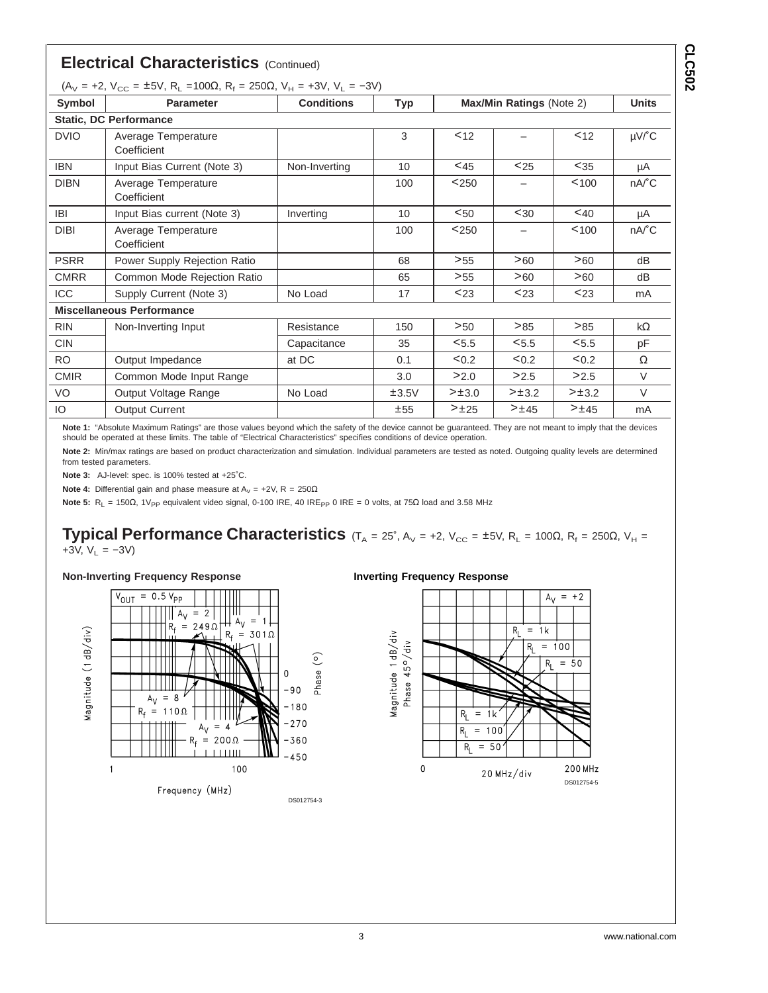|             | <b>Electrical Characteristics (Continued)</b>                                                             |                   |            |             |                          |        |                                      |
|-------------|-----------------------------------------------------------------------------------------------------------|-------------------|------------|-------------|--------------------------|--------|--------------------------------------|
| Symbol      | $(A_V = +2, V_{CC} = \pm 5V, R_L = 100\Omega, R_f = 250\Omega, V_H = +3V, V_L = -3V)$<br><b>Parameter</b> | <b>Conditions</b> | <b>Typ</b> |             | Max/Min Ratings (Note 2) |        | <b>Units</b>                         |
|             | <b>Static, DC Performance</b>                                                                             |                   |            |             |                          |        |                                      |
| <b>DVIO</b> | Average Temperature<br>Coefficient                                                                        |                   | 3          | 12          |                          | < 12   | $\mu$ V/ $^{\circ}$ C                |
| <b>IBN</b>  | Input Bias Current (Note 3)                                                                               | Non-Inverting     | 10         | $<$ 45      | $25$                     | $35$   | μA                                   |
| <b>DIBN</b> | Average Temperature<br>Coefficient                                                                        |                   | 100        | < 250       | $\overline{\phantom{0}}$ | < 100  | $nA$ <sup><math>\circ</math></sup> C |
| <b>IBI</b>  | Input Bias current (Note 3)                                                                               | Inverting         | 10         | < 50        | $30$                     | $<$ 40 | μA                                   |
| <b>DIBI</b> | Average Temperature<br>Coefficient                                                                        |                   | 100        | < 250       | $\qquad \qquad -$        | < 100  | $nA$ <sup>°</sup> C                  |
| <b>PSRR</b> | Power Supply Rejection Ratio                                                                              |                   | 68         | >55         | >60                      | >60    | dB                                   |
| <b>CMRR</b> | Common Mode Rejection Ratio                                                                               |                   | 65         | >55         | >60                      | >60    | dB                                   |
| <b>ICC</b>  | Supply Current (Note 3)                                                                                   | No Load           | 17         | $23$        | $23$                     | $23$   | mA                                   |
|             | <b>Miscellaneous Performance</b>                                                                          |                   |            |             |                          |        |                                      |
| <b>RIN</b>  | Non-Inverting Input                                                                                       | Resistance        | 150        | >50         | >85                      | >85    | $k\Omega$                            |
| <b>CIN</b>  |                                                                                                           | Capacitance       | 35         | < 5.5       | < 5.5                    | < 5.5  | рF                                   |
| <b>RO</b>   | Output Impedance                                                                                          | at DC             | 0.1        | < 0.2       | < 0.2                    | < 0.2  | $\Omega$                             |
| <b>CMIR</b> | Common Mode Input Range                                                                                   |                   | 3.0        | >2.0        | >2.5                     | >2.5   | $\vee$                               |
| VO          | Output Voltage Range                                                                                      | No Load           | ±3.5V      | $> \pm 3.0$ | >13.2                    | >13.2  | $\vee$                               |
| IO.         | <b>Output Current</b>                                                                                     |                   | ±55        | >±25        | >±45                     | >±45   | mA                                   |

**Note 1:** "Absolute Maximum Ratings" are those values beyond which the safety of the device cannot be guaranteed. They are not meant to imply that the devices should be operated at these limits. The table of "Electrical Characteristics" specifies conditions of device operation.

**Note 2:** Min/max ratings are based on product characterization and simulation. Individual parameters are tested as noted. Outgoing quality levels are determined from tested parameters.

**Note 3:** AJ-level: spec. is 100% tested at +25˚C.

**Note 4:** Differential gain and phase measure at  $A_v = +2V$ ,  $R = 250\Omega$ 

Note 5: R<sub>L</sub> = 150Ω, 1V<sub>PP</sub> equivalent video signal, 0-100 IRE, 40 IRE<sub>PP</sub> 0 IRE = 0 volts, at 75Ω load and 3.58 MHz

### **Typical Performance Characteristics** (T<sub>A</sub> = 25°, A<sub>V</sub> = +2, V<sub>CC</sub> = ±5V, R<sub>L</sub> = 100 $\Omega$ , R<sub>f</sub> = 250 $\Omega$ , V<sub>H</sub> = +3V,  $V_L = -3V$ )

#### **Non-Inverting Frequency Response**



#### **Inverting Frequency Response**



**CLC502**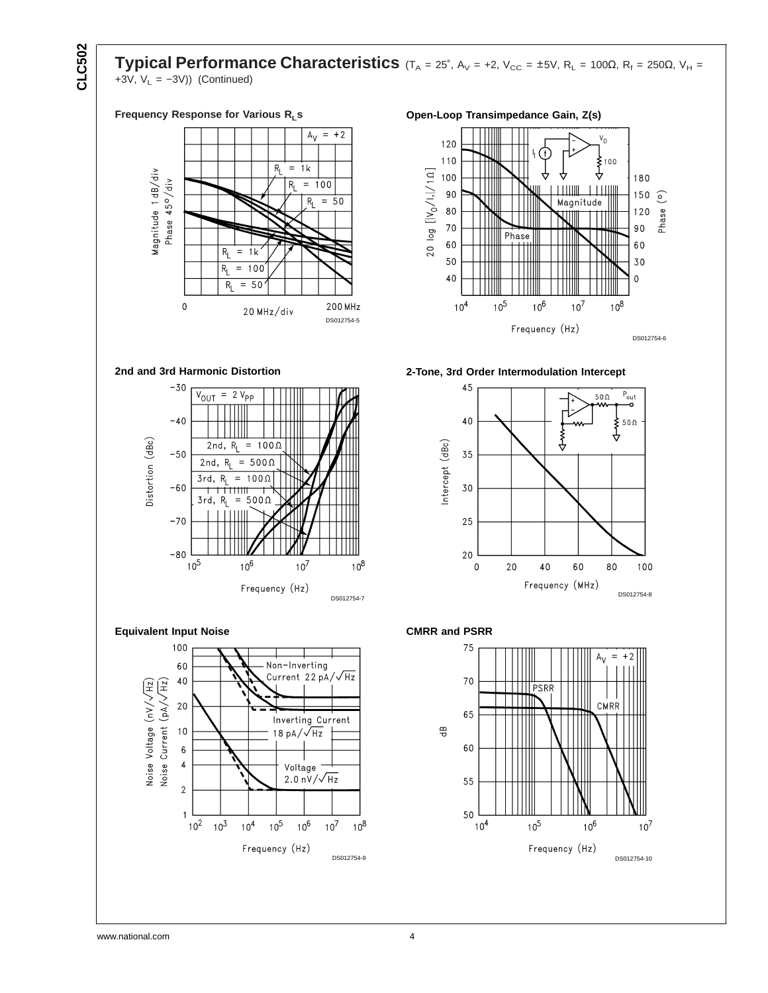**Typical Performance Characteristics** (T<sub>A</sub> = 25°, A<sub>V</sub> = +2, V<sub>CC</sub> = ±5V, R<sub>L</sub> = 100Ω, R<sub>f</sub> = 250Ω, V<sub>H</sub> = +3V,  $V_L = -3V$ )) (Continued)

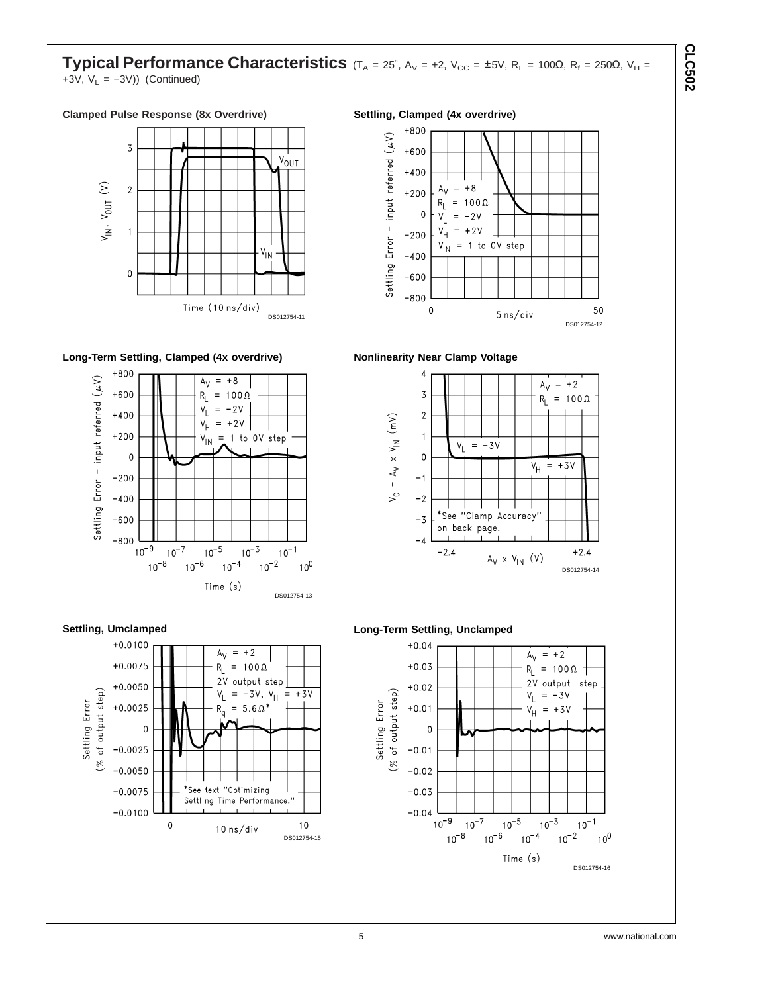### **Typical Performance Characteristics** (T<sub>A</sub> = 25°, A<sub>V</sub> = +2, V<sub>CC</sub> = ±5V, R<sub>L</sub> = 100 $\Omega$ , R<sub>f</sub> = 250 $\Omega$ , V<sub>H</sub> = +3V,  $V_L = -3V$ )) (Continued)



#### **Long-Term Settling, Clamped (4x overdrive)**







#### **Nonlinearity Near Clamp Voltage**



5 ns/div

DS012754-12

50





**CLC502**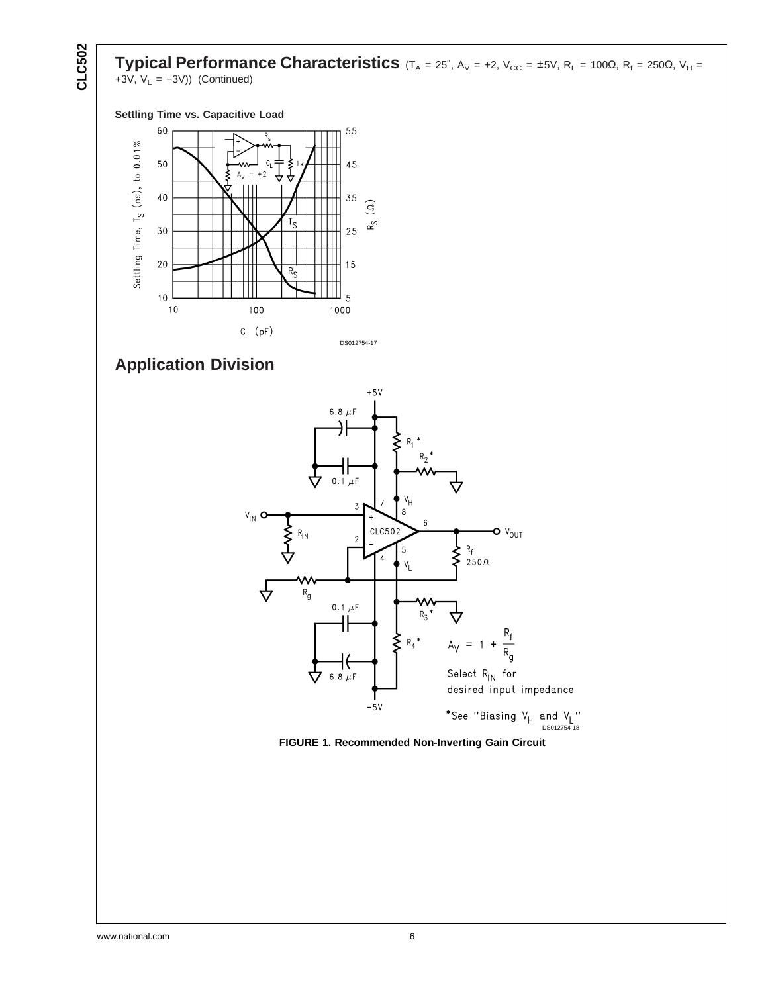**CLC502**

**Typical Performance Characteristics** (T<sub>A</sub> = 25°, A<sub>V</sub> = +2, V<sub>CC</sub> = ±5V, R<sub>L</sub> = 100Ω, R<sub>f</sub> = 250Ω, V<sub>H</sub> = +3V,  $V_L = -3V$ )) (Continued)

#### **Settling Time vs. Capacitive Load**



# **Application Division**



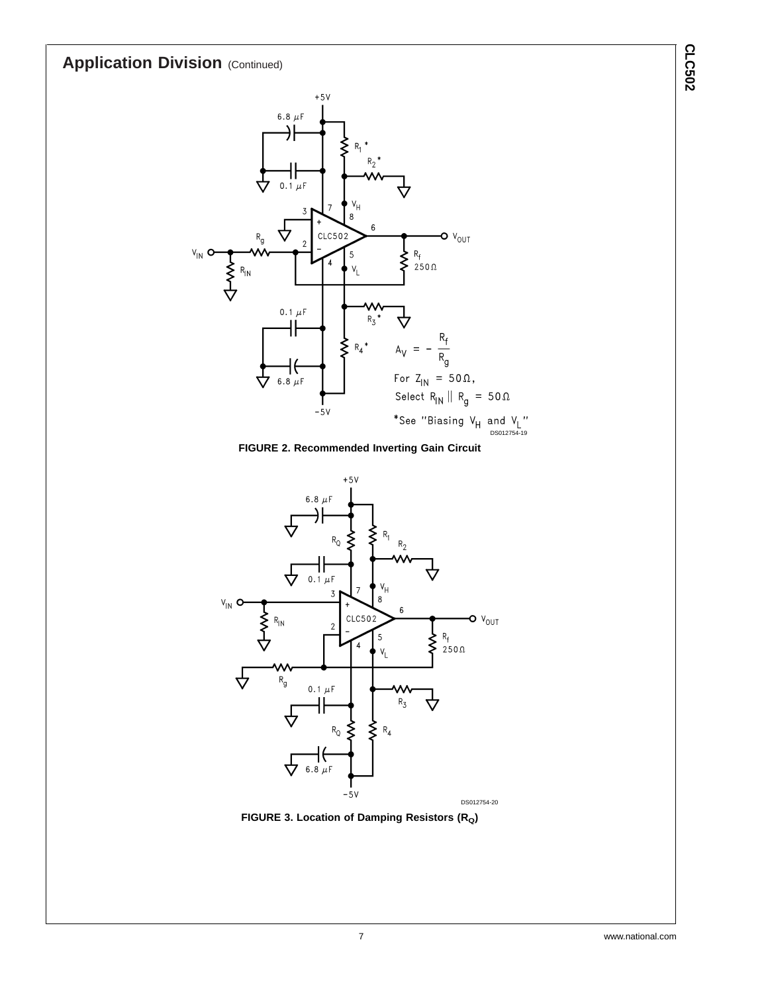# **Application Division (Continued)**



**FIGURE 2. Recommended Inverting Gain Circuit**





**CLC502**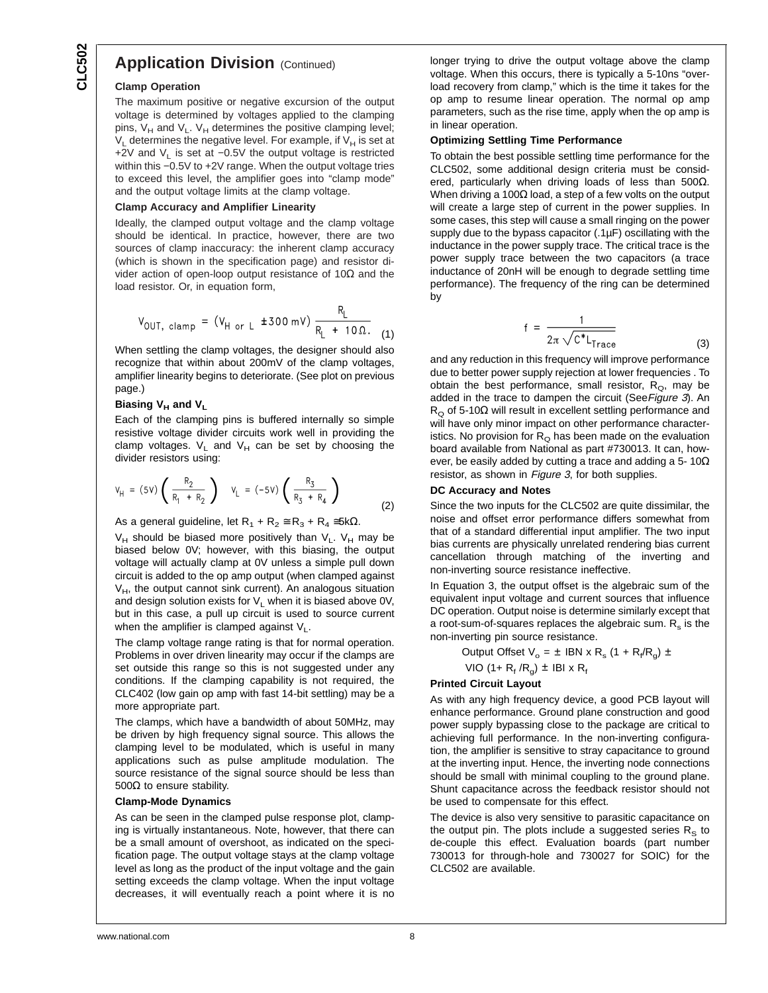### **Application Division (Continued)**

#### **Clamp Operation**

The maximum positive or negative excursion of the output voltage is determined by voltages applied to the clamping pins,  $V_H$  and  $V_L$ .  $V_H$  determines the positive clamping level;  $V_L$  determines the negative level. For example, if  $V_H$  is set at +2V and V<sub>L</sub> is set at −0.5V the output voltage is restricted within this -0.5V to +2V range. When the output voltage tries to exceed this level, the amplifier goes into "clamp mode" and the output voltage limits at the clamp voltage.

#### **Clamp Accuracy and Amplifier Linearity**

Ideally, the clamped output voltage and the clamp voltage should be identical. In practice, however, there are two sources of clamp inaccuracy: the inherent clamp accuracy (which is shown in the specification page) and resistor divider action of open-loop output resistance of 10Ω and the load resistor. Or, in equation form,

$$
V_{OUT, clamp} = (V_{H or L} \pm 300 \text{ mV}) \frac{R_L}{R_L + 10 \Omega}
$$
 (1)

When settling the clamp voltages, the designer should also recognize that within about 200mV of the clamp voltages, amplifier linearity begins to deteriorate. (See plot on previous page.)

#### **Biasing V<sub>H</sub> and V<sub>L</sub>**

Each of the clamping pins is buffered internally so simple resistive voltage divider circuits work well in providing the clamp voltages.  $V_L$  and  $V_H$  can be set by choosing the divider resistors using:

$$
V_{H} = (5V) \left( \frac{R_{2}}{R_{1} + R_{2}} \right) \quad V_{L} = (-5V) \left( \frac{R_{3}}{R_{3} + R_{4}} \right)
$$
(2)

As a general guideline, let  $R_1 + R_2 \cong R_3 + R_4 \cong 5k\Omega$ .

 $V_H$  should be biased more positively than  $V_L$ .  $V_H$  may be biased below 0V; however, with this biasing, the output voltage will actually clamp at 0V unless a simple pull down circuit is added to the op amp output (when clamped against  $V_H$ , the output cannot sink current). An analogous situation and design solution exists for  $V<sub>L</sub>$  when it is biased above 0V, but in this case, a pull up circuit is used to source current when the amplifier is clamped against  $V_L$ .

The clamp voltage range rating is that for normal operation. Problems in over driven linearity may occur if the clamps are set outside this range so this is not suggested under any conditions. If the clamping capability is not required, the CLC402 (low gain op amp with fast 14-bit settling) may be a more appropriate part.

The clamps, which have a bandwidth of about 50MHz, may be driven by high frequency signal source. This allows the clamping level to be modulated, which is useful in many applications such as pulse amplitude modulation. The source resistance of the signal source should be less than 500 $Ω$  to ensure stability.

#### **Clamp-Mode Dynamics**

As can be seen in the clamped pulse response plot, clamping is virtually instantaneous. Note, however, that there can be a small amount of overshoot, as indicated on the specification page. The output voltage stays at the clamp voltage level as long as the product of the input voltage and the gain setting exceeds the clamp voltage. When the input voltage decreases, it will eventually reach a point where it is no longer trying to drive the output voltage above the clamp voltage. When this occurs, there is typically a 5-10ns "overload recovery from clamp," which is the time it takes for the op amp to resume linear operation. The normal op amp parameters, such as the rise time, apply when the op amp is in linear operation.

#### **Optimizing Settling Time Performance**

To obtain the best possible settling time performance for the CLC502, some additional design criteria must be considered, particularly when driving loads of less than  $500\Omega$ . When driving a 100 $\Omega$  load, a step of a few volts on the output will create a large step of current in the power supplies. In some cases, this step will cause a small ringing on the power supply due to the bypass capacitor (.1µF) oscillating with the inductance in the power supply trace. The critical trace is the power supply trace between the two capacitors (a trace inductance of 20nH will be enough to degrade settling time performance). The frequency of the ring can be determined by

$$
f = \frac{1}{2\pi\sqrt{C^*L_{Trace}}}
$$
 (3)

and any reduction in this frequency will improve performance due to better power supply rejection at lower frequencies . To obtain the best performance, small resistor,  $R_Q$ , may be added in the trace to dampen the circuit (See Figure 3). An  $R_{\Omega}$  of 5-10 $\Omega$  will result in excellent settling performance and will have only minor impact on other performance characteristics. No provision for  $R<sub>o</sub>$  has been made on the evaluation board available from National as part #730013. It can, however, be easily added by cutting a trace and adding a 5- 10 $\Omega$ resistor, as shown in Figure 3, for both supplies.

#### **DC Accuracy and Notes**

Since the two inputs for the CLC502 are quite dissimilar, the noise and offset error performance differs somewhat from that of a standard differential input amplifier. The two input bias currents are physically unrelated rendering bias current cancellation through matching of the inverting and non-inverting source resistance ineffective.

In Equation 3, the output offset is the algebraic sum of the equivalent input voltage and current sources that influence DC operation. Output noise is determine similarly except that a root-sum-of-squares replaces the algebraic sum.  $R_s$  is the non-inverting pin source resistance.

> Output Offset  $V_o = \pm$  IBN x R<sub>s</sub> (1 + R<sub>f</sub>/R<sub>g</sub>)  $\pm$ VIO (1+  $R_f/R_g$ ) ± IBI x  $R_f$

#### **Printed Circuit Layout**

As with any high frequency device, a good PCB layout will enhance performance. Ground plane construction and good power supply bypassing close to the package are critical to achieving full performance. In the non-inverting configuration, the amplifier is sensitive to stray capacitance to ground at the inverting input. Hence, the inverting node connections should be small with minimal coupling to the ground plane. Shunt capacitance across the feedback resistor should not be used to compensate for this effect.

The device is also very sensitive to parasitic capacitance on the output pin. The plots include a suggested series  $R<sub>S</sub>$  to de-couple this effect. Evaluation boards (part number 730013 for through-hole and 730027 for SOIC) for the CLC502 are available.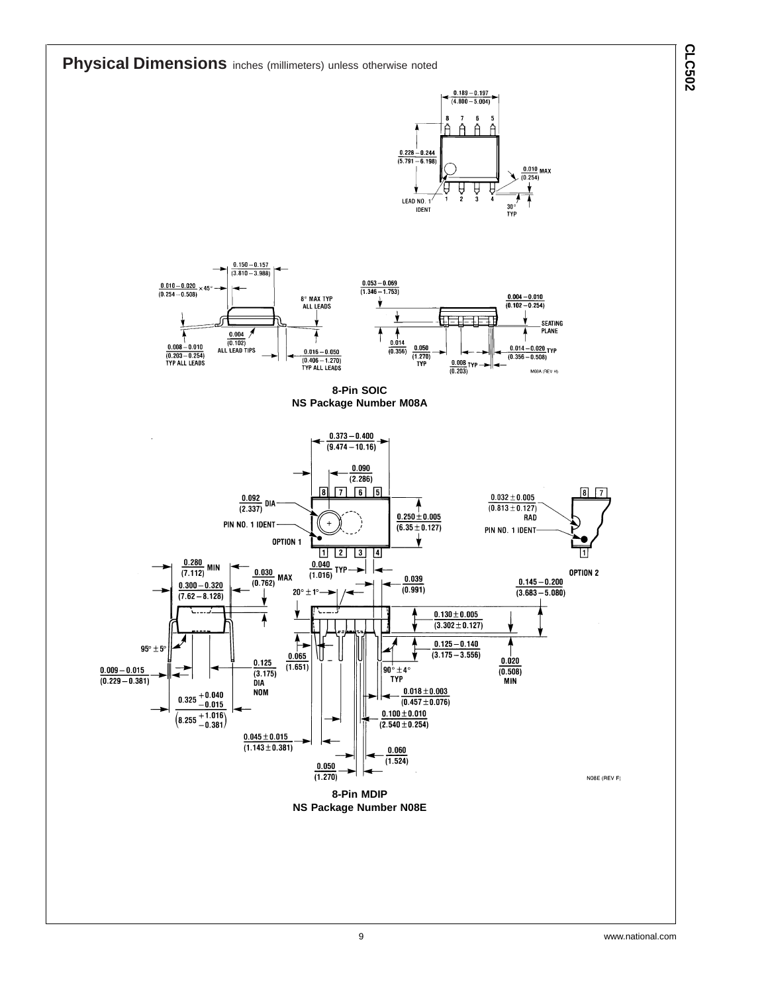